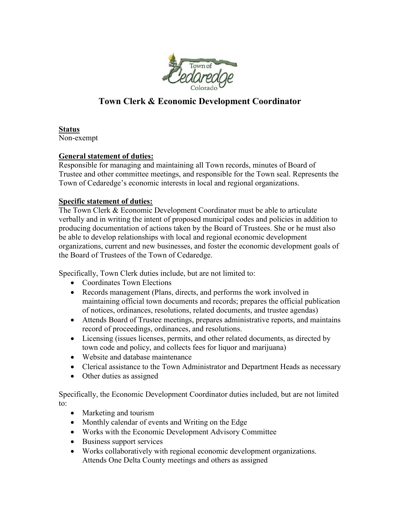

# **Town Clerk & Economic Development Coordinator**

**Status** Non-exempt

#### **General statement of duties:**

Responsible for managing and maintaining all Town records, minutes of Board of Trustee and other committee meetings, and responsible for the Town seal. Represents the Town of Cedaredge's economic interests in local and regional organizations.

#### **Specific statement of duties:**

The Town Clerk & Economic Development Coordinator must be able to articulate verbally and in writing the intent of proposed municipal codes and policies in addition to producing documentation of actions taken by the Board of Trustees. She or he must also be able to develop relationships with local and regional economic development organizations, current and new businesses, and foster the economic development goals of the Board of Trustees of the Town of Cedaredge.

Specifically, Town Clerk duties include, but are not limited to:

- Coordinates Town Elections
- Records management (Plans, directs, and performs the work involved in maintaining official town documents and records; prepares the official publication of notices, ordinances, resolutions, related documents, and trustee agendas)
- Attends Board of Trustee meetings, prepares administrative reports, and maintains record of proceedings, ordinances, and resolutions.
- Licensing (issues licenses, permits, and other related documents, as directed by town code and policy, and collects fees for liquor and marijuana)
- Website and database maintenance
- Clerical assistance to the Town Administrator and Department Heads as necessary
- Other duties as assigned

Specifically, the Economic Development Coordinator duties included, but are not limited to:

- Marketing and tourism
- Monthly calendar of events and Writing on the Edge
- Works with the Economic Development Advisory Committee
- Business support services
- Works collaboratively with regional economic development organizations. Attends One Delta County meetings and others as assigned